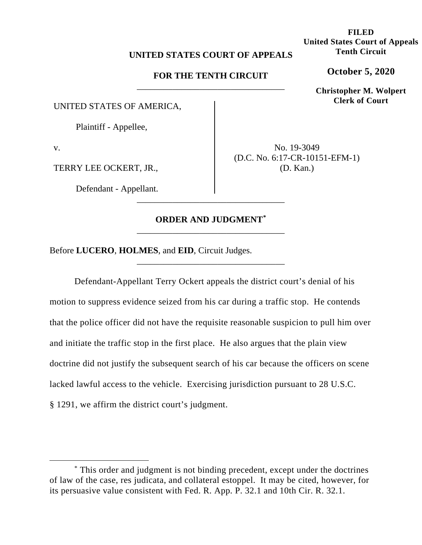### **UNITED STATES COURT OF APPEALS**

## **FOR THE TENTH CIRCUIT**  \_\_\_\_\_\_\_\_\_\_\_\_\_\_\_\_\_\_\_\_\_\_\_\_\_\_\_\_\_\_\_\_\_

UNITED STATES OF AMERICA,

Plaintiff - Appellee,

v.

TERRY LEE OCKERT, JR.,

Defendant - Appellant.

No. 19-3049 (D.C. No. 6:17-CR-10151-EFM-1) (D. Kan.)

# **ORDER AND JUDGMENT\*** \_\_\_\_\_\_\_\_\_\_\_\_\_\_\_\_\_\_\_\_\_\_\_\_\_\_\_\_\_\_\_\_\_

\_\_\_\_\_\_\_\_\_\_\_\_\_\_\_\_\_\_\_\_\_\_\_\_\_\_\_\_\_\_\_\_\_

\_\_\_\_\_\_\_\_\_\_\_\_\_\_\_\_\_\_\_\_\_\_\_\_\_\_\_\_\_\_\_\_\_

Before **LUCERO**, **HOLMES**, and **EID**, Circuit Judges.

Defendant-Appellant Terry Ockert appeals the district court's denial of his motion to suppress evidence seized from his car during a traffic stop. He contends that the police officer did not have the requisite reasonable suspicion to pull him over and initiate the traffic stop in the first place. He also argues that the plain view doctrine did not justify the subsequent search of his car because the officers on scene lacked lawful access to the vehicle. Exercising jurisdiction pursuant to 28 U.S.C. § 1291, we affirm the district court's judgment.

**FILED United States Court of Appeals Tenth Circuit**

**October 5, 2020**

**Christopher M. Wolpert Clerk of Court**

<sup>\*</sup> This order and judgment is not binding precedent, except under the doctrines of law of the case, res judicata, and collateral estoppel. It may be cited, however, for its persuasive value consistent with Fed. R. App. P. 32.1 and 10th Cir. R. 32.1.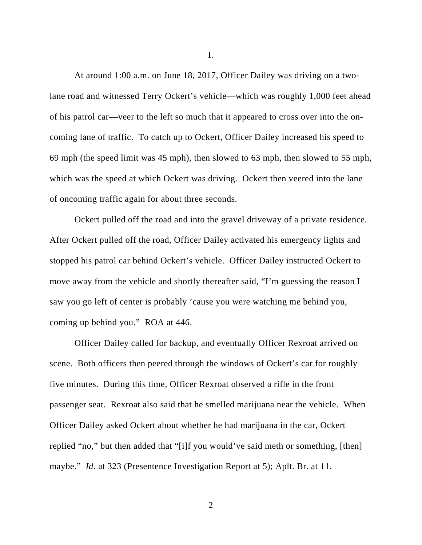I.

At around 1:00 a.m. on June 18, 2017, Officer Dailey was driving on a twolane road and witnessed Terry Ockert's vehicle—which was roughly 1,000 feet ahead of his patrol car—veer to the left so much that it appeared to cross over into the oncoming lane of traffic. To catch up to Ockert, Officer Dailey increased his speed to 69 mph (the speed limit was 45 mph), then slowed to 63 mph, then slowed to 55 mph, which was the speed at which Ockert was driving. Ockert then veered into the lane of oncoming traffic again for about three seconds.

Ockert pulled off the road and into the gravel driveway of a private residence. After Ockert pulled off the road, Officer Dailey activated his emergency lights and stopped his patrol car behind Ockert's vehicle. Officer Dailey instructed Ockert to move away from the vehicle and shortly thereafter said, "I'm guessing the reason I saw you go left of center is probably 'cause you were watching me behind you, coming up behind you." ROA at 446.

Officer Dailey called for backup, and eventually Officer Rexroat arrived on scene. Both officers then peered through the windows of Ockert's car for roughly five minutes. During this time, Officer Rexroat observed a rifle in the front passenger seat. Rexroat also said that he smelled marijuana near the vehicle. When Officer Dailey asked Ockert about whether he had marijuana in the car, Ockert replied "no," but then added that "[i]f you would've said meth or something, [then] maybe." *Id*. at 323 (Presentence Investigation Report at 5); Aplt. Br. at 11.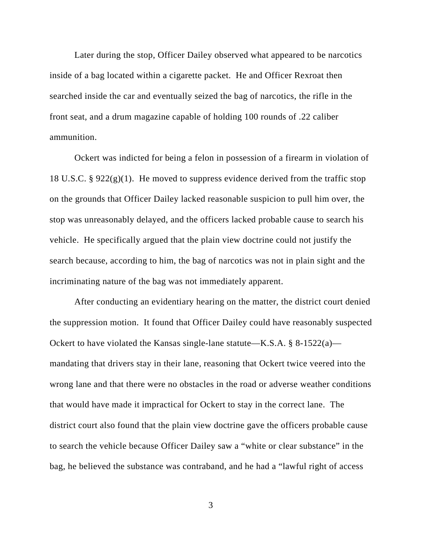Later during the stop, Officer Dailey observed what appeared to be narcotics inside of a bag located within a cigarette packet. He and Officer Rexroat then searched inside the car and eventually seized the bag of narcotics, the rifle in the front seat, and a drum magazine capable of holding 100 rounds of .22 caliber ammunition.

Ockert was indicted for being a felon in possession of a firearm in violation of 18 U.S.C. §  $922(g)(1)$ . He moved to suppress evidence derived from the traffic stop on the grounds that Officer Dailey lacked reasonable suspicion to pull him over, the stop was unreasonably delayed, and the officers lacked probable cause to search his vehicle. He specifically argued that the plain view doctrine could not justify the search because, according to him, the bag of narcotics was not in plain sight and the incriminating nature of the bag was not immediately apparent.

After conducting an evidentiary hearing on the matter, the district court denied the suppression motion. It found that Officer Dailey could have reasonably suspected Ockert to have violated the Kansas single-lane statute—K.S.A.  $\S$  8-1522(a) mandating that drivers stay in their lane, reasoning that Ockert twice veered into the wrong lane and that there were no obstacles in the road or adverse weather conditions that would have made it impractical for Ockert to stay in the correct lane. The district court also found that the plain view doctrine gave the officers probable cause to search the vehicle because Officer Dailey saw a "white or clear substance" in the bag, he believed the substance was contraband, and he had a "lawful right of access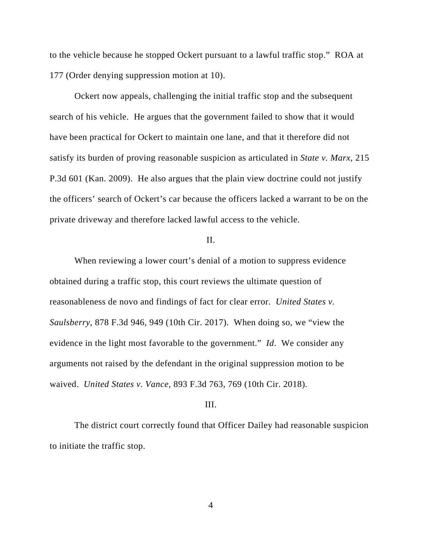to the vehicle because he stopped Ockert pursuant to a lawful traffic stop." ROA at 177 (Order denying suppression motion at 10).

Ockert now appeals, challenging the initial traffic stop and the subsequent search of his vehicle. He argues that the government failed to show that it would have been practical for Ockert to maintain one lane, and that it therefore did not satisfy its burden of proving reasonable suspicion as articulated in *State v. Marx*, 215 P.3d 601 (Kan. 2009). He also argues that the plain view doctrine could not justify the officers' search of Ockert's car because the officers lacked a warrant to be on the private driveway and therefore lacked lawful access to the vehicle.

## II.

When reviewing a lower court's denial of a motion to suppress evidence obtained during a traffic stop, this court reviews the ultimate question of reasonableness de novo and findings of fact for clear error. *United States v. Saulsberry*, 878 F.3d 946, 949 (10th Cir. 2017). When doing so, we "view the evidence in the light most favorable to the government." *Id*. We consider any arguments not raised by the defendant in the original suppression motion to be waived. *United States v. Vance*, 893 F.3d 763, 769 (10th Cir. 2018).

### III.

The district court correctly found that Officer Dailey had reasonable suspicion to initiate the traffic stop.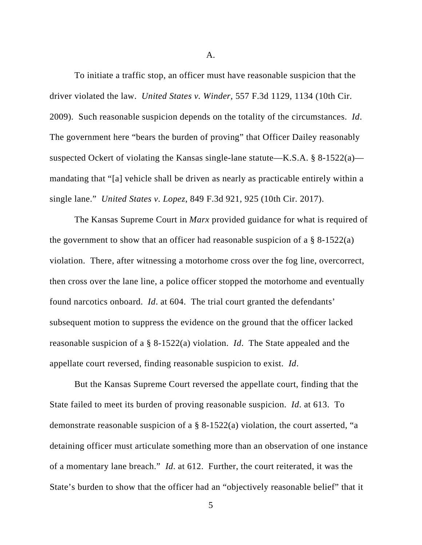A.

To initiate a traffic stop, an officer must have reasonable suspicion that the driver violated the law. *United States v. Winder*, 557 F.3d 1129, 1134 (10th Cir. 2009). Such reasonable suspicion depends on the totality of the circumstances. *Id*. The government here "bears the burden of proving" that Officer Dailey reasonably suspected Ockert of violating the Kansas single-lane statute—K.S.A. § 8-1522(a) mandating that "[a] vehicle shall be driven as nearly as practicable entirely within a single lane." *United States v. Lopez*, 849 F.3d 921, 925 (10th Cir. 2017).

The Kansas Supreme Court in *Marx* provided guidance for what is required of the government to show that an officer had reasonable suspicion of a  $\S$  8-1522(a) violation. There, after witnessing a motorhome cross over the fog line, overcorrect, then cross over the lane line, a police officer stopped the motorhome and eventually found narcotics onboard. *Id*. at 604. The trial court granted the defendants' subsequent motion to suppress the evidence on the ground that the officer lacked reasonable suspicion of a § 8-1522(a) violation. *Id*. The State appealed and the appellate court reversed, finding reasonable suspicion to exist. *Id*.

But the Kansas Supreme Court reversed the appellate court, finding that the State failed to meet its burden of proving reasonable suspicion. *Id*. at 613. To demonstrate reasonable suspicion of a § 8-1522(a) violation, the court asserted, "a detaining officer must articulate something more than an observation of one instance of a momentary lane breach." *Id*. at 612. Further, the court reiterated, it was the State's burden to show that the officer had an "objectively reasonable belief" that it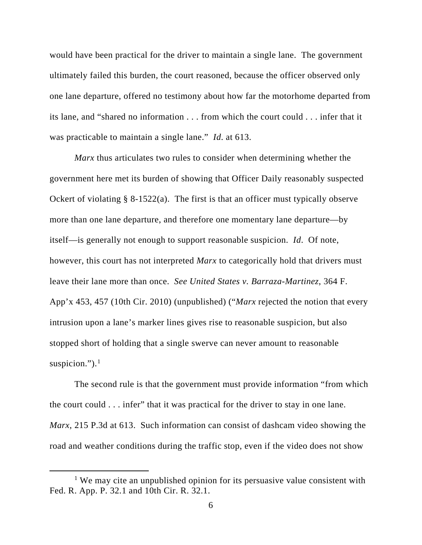would have been practical for the driver to maintain a single lane. The government ultimately failed this burden, the court reasoned, because the officer observed only one lane departure, offered no testimony about how far the motorhome departed from its lane, and "shared no information . . . from which the court could . . . infer that it was practicable to maintain a single lane." *Id*. at 613.

*Marx* thus articulates two rules to consider when determining whether the government here met its burden of showing that Officer Daily reasonably suspected Ockert of violating  $\S$  8-1522(a). The first is that an officer must typically observe more than one lane departure, and therefore one momentary lane departure—by itself—is generally not enough to support reasonable suspicion. *Id*. Of note, however, this court has not interpreted *Marx* to categorically hold that drivers must leave their lane more than once. *See United States v. Barraza-Martinez*, 364 F. App'x 453, 457 (10th Cir. 2010) (unpublished) ("*Marx* rejected the notion that every intrusion upon a lane's marker lines gives rise to reasonable suspicion, but also stopped short of holding that a single swerve can never amount to reasonable suspicion."). $<sup>1</sup>$ </sup>

The second rule is that the government must provide information "from which the court could . . . infer" that it was practical for the driver to stay in one lane. *Marx*, 215 P.3d at 613. Such information can consist of dashcam video showing the road and weather conditions during the traffic stop, even if the video does not show

<sup>&</sup>lt;sup>1</sup> We may cite an unpublished opinion for its persuasive value consistent with Fed. R. App. P. 32.1 and 10th Cir. R. 32.1.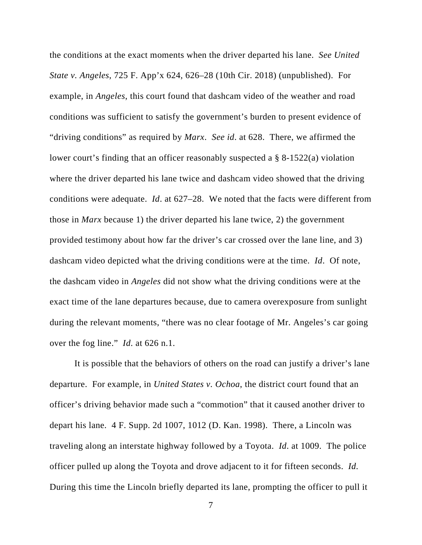the conditions at the exact moments when the driver departed his lane. *See United State v. Angeles*, 725 F. App'x 624, 626–28 (10th Cir. 2018) (unpublished). For example, in *Angeles*, this court found that dashcam video of the weather and road conditions was sufficient to satisfy the government's burden to present evidence of "driving conditions" as required by *Marx*. *See id*. at 628. There, we affirmed the lower court's finding that an officer reasonably suspected a § 8-1522(a) violation where the driver departed his lane twice and dashcam video showed that the driving conditions were adequate. *Id*. at 627–28. We noted that the facts were different from those in *Marx* because 1) the driver departed his lane twice, 2) the government provided testimony about how far the driver's car crossed over the lane line, and 3) dashcam video depicted what the driving conditions were at the time. *Id*. Of note, the dashcam video in *Angeles* did not show what the driving conditions were at the exact time of the lane departures because, due to camera overexposure from sunlight during the relevant moments, "there was no clear footage of Mr. Angeles's car going over the fog line." *Id*. at 626 n.1.

It is possible that the behaviors of others on the road can justify a driver's lane departure. For example, in *United States v. Ochoa*, the district court found that an officer's driving behavior made such a "commotion" that it caused another driver to depart his lane. 4 F. Supp. 2d 1007, 1012 (D. Kan. 1998). There, a Lincoln was traveling along an interstate highway followed by a Toyota. *Id*. at 1009. The police officer pulled up along the Toyota and drove adjacent to it for fifteen seconds. *Id*. During this time the Lincoln briefly departed its lane, prompting the officer to pull it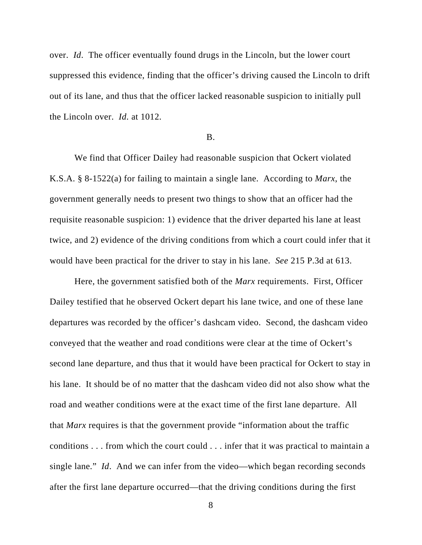over. *Id*. The officer eventually found drugs in the Lincoln, but the lower court suppressed this evidence, finding that the officer's driving caused the Lincoln to drift out of its lane, and thus that the officer lacked reasonable suspicion to initially pull the Lincoln over. *Id*. at 1012.

#### B.

We find that Officer Dailey had reasonable suspicion that Ockert violated K.S.A. § 8-1522(a) for failing to maintain a single lane. According to *Marx*, the government generally needs to present two things to show that an officer had the requisite reasonable suspicion: 1) evidence that the driver departed his lane at least twice, and 2) evidence of the driving conditions from which a court could infer that it would have been practical for the driver to stay in his lane. *See* 215 P.3d at 613.

Here, the government satisfied both of the *Marx* requirements. First, Officer Dailey testified that he observed Ockert depart his lane twice, and one of these lane departures was recorded by the officer's dashcam video. Second, the dashcam video conveyed that the weather and road conditions were clear at the time of Ockert's second lane departure, and thus that it would have been practical for Ockert to stay in his lane. It should be of no matter that the dashcam video did not also show what the road and weather conditions were at the exact time of the first lane departure. All that *Marx* requires is that the government provide "information about the traffic conditions . . . from which the court could . . . infer that it was practical to maintain a single lane." *Id*. And we can infer from the video—which began recording seconds after the first lane departure occurred—that the driving conditions during the first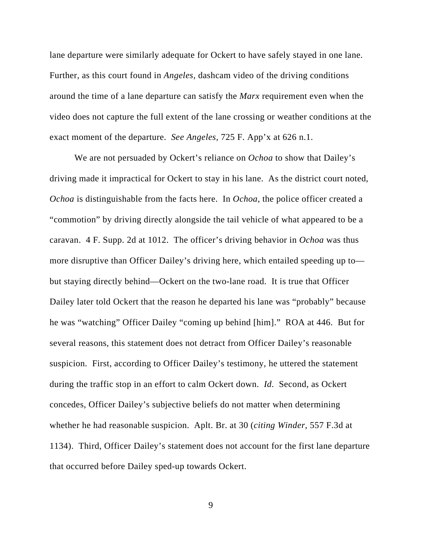lane departure were similarly adequate for Ockert to have safely stayed in one lane. Further, as this court found in *Angeles,* dashcam video of the driving conditions around the time of a lane departure can satisfy the *Marx* requirement even when the video does not capture the full extent of the lane crossing or weather conditions at the exact moment of the departure. *See Angeles*, 725 F. App'x at 626 n.1.

We are not persuaded by Ockert's reliance on *Ochoa* to show that Dailey's driving made it impractical for Ockert to stay in his lane. As the district court noted, *Ochoa* is distinguishable from the facts here. In *Ochoa*, the police officer created a "commotion" by driving directly alongside the tail vehicle of what appeared to be a caravan. 4 F. Supp. 2d at 1012. The officer's driving behavior in *Ochoa* was thus more disruptive than Officer Dailey's driving here, which entailed speeding up to but staying directly behind—Ockert on the two-lane road. It is true that Officer Dailey later told Ockert that the reason he departed his lane was "probably" because he was "watching" Officer Dailey "coming up behind [him]." ROA at 446. But for several reasons, this statement does not detract from Officer Dailey's reasonable suspicion. First, according to Officer Dailey's testimony, he uttered the statement during the traffic stop in an effort to calm Ockert down. *Id*. Second, as Ockert concedes, Officer Dailey's subjective beliefs do not matter when determining whether he had reasonable suspicion. Aplt. Br. at 30 (*citing Winder*, 557 F.3d at 1134). Third, Officer Dailey's statement does not account for the first lane departure that occurred before Dailey sped-up towards Ockert.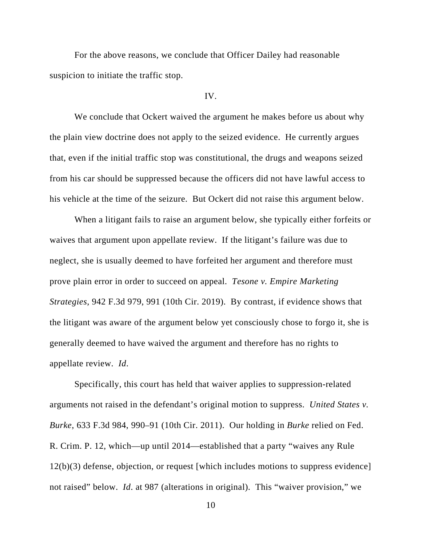For the above reasons, we conclude that Officer Dailey had reasonable suspicion to initiate the traffic stop.

### IV.

We conclude that Ockert waived the argument he makes before us about why the plain view doctrine does not apply to the seized evidence. He currently argues that, even if the initial traffic stop was constitutional, the drugs and weapons seized from his car should be suppressed because the officers did not have lawful access to his vehicle at the time of the seizure. But Ockert did not raise this argument below.

When a litigant fails to raise an argument below, she typically either forfeits or waives that argument upon appellate review. If the litigant's failure was due to neglect, she is usually deemed to have forfeited her argument and therefore must prove plain error in order to succeed on appeal. *Tesone v. Empire Marketing Strategies*, 942 F.3d 979, 991 (10th Cir. 2019). By contrast, if evidence shows that the litigant was aware of the argument below yet consciously chose to forgo it, she is generally deemed to have waived the argument and therefore has no rights to appellate review. *Id*.

Specifically, this court has held that waiver applies to suppression-related arguments not raised in the defendant's original motion to suppress. *United States v. Burke*, 633 F.3d 984, 990–91 (10th Cir. 2011). Our holding in *Burke* relied on Fed. R. Crim. P. 12, which—up until 2014—established that a party "waives any Rule 12(b)(3) defense, objection, or request [which includes motions to suppress evidence] not raised" below. *Id*. at 987 (alterations in original). This "waiver provision," we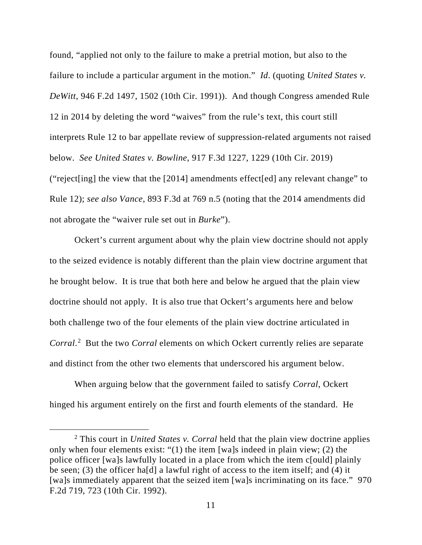found, "applied not only to the failure to make a pretrial motion, but also to the failure to include a particular argument in the motion." *Id*. (quoting *United States v. DeWitt*, 946 F.2d 1497, 1502 (10th Cir. 1991)). And though Congress amended Rule 12 in 2014 by deleting the word "waives" from the rule's text, this court still interprets Rule 12 to bar appellate review of suppression-related arguments not raised below. *See United States v. Bowline*, 917 F.3d 1227, 1229 (10th Cir. 2019) ("reject[ing] the view that the [2014] amendments effect[ed] any relevant change" to Rule 12); *see also Vance*, 893 F.3d at 769 n.5 (noting that the 2014 amendments did not abrogate the "waiver rule set out in *Burke*").

Ockert's current argument about why the plain view doctrine should not apply to the seized evidence is notably different than the plain view doctrine argument that he brought below. It is true that both here and below he argued that the plain view doctrine should not apply. It is also true that Ockert's arguments here and below both challenge two of the four elements of the plain view doctrine articulated in *Corral*. 2 But the two *Corral* elements on which Ockert currently relies are separate and distinct from the other two elements that underscored his argument below.

When arguing below that the government failed to satisfy *Corral*, Ockert hinged his argument entirely on the first and fourth elements of the standard. He

<sup>2</sup> This court in *United States v. Corral* held that the plain view doctrine applies only when four elements exist: "(1) the item [wa]s indeed in plain view; (2) the police officer [wa]s lawfully located in a place from which the item c[ould] plainly be seen; (3) the officer ha[d] a lawful right of access to the item itself; and (4) it [wa]s immediately apparent that the seized item [wa]s incriminating on its face." 970 F.2d 719, 723 (10th Cir. 1992).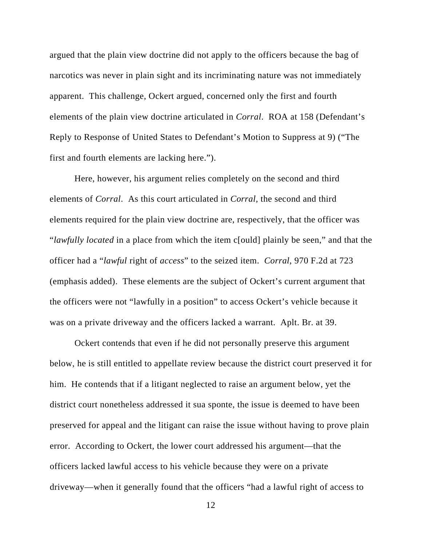argued that the plain view doctrine did not apply to the officers because the bag of narcotics was never in plain sight and its incriminating nature was not immediately apparent. This challenge, Ockert argued, concerned only the first and fourth elements of the plain view doctrine articulated in *Corral*. ROA at 158 (Defendant's Reply to Response of United States to Defendant's Motion to Suppress at 9) ("The first and fourth elements are lacking here.").

Here, however, his argument relies completely on the second and third elements of *Corral*. As this court articulated in *Corral*, the second and third elements required for the plain view doctrine are, respectively, that the officer was "*lawfully located* in a place from which the item c[ould] plainly be seen," and that the officer had a "*lawful* right of *access*" to the seized item. *Corral*, 970 F.2d at 723 (emphasis added). These elements are the subject of Ockert's current argument that the officers were not "lawfully in a position" to access Ockert's vehicle because it was on a private driveway and the officers lacked a warrant. Aplt. Br. at 39.

Ockert contends that even if he did not personally preserve this argument below, he is still entitled to appellate review because the district court preserved it for him. He contends that if a litigant neglected to raise an argument below, yet the district court nonetheless addressed it sua sponte, the issue is deemed to have been preserved for appeal and the litigant can raise the issue without having to prove plain error. According to Ockert, the lower court addressed his argument—that the officers lacked lawful access to his vehicle because they were on a private driveway—when it generally found that the officers "had a lawful right of access to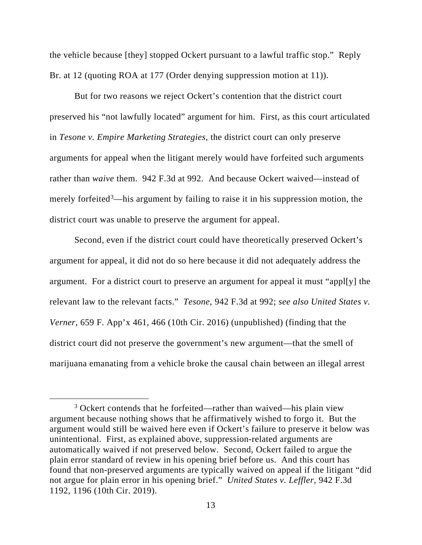the vehicle because [they] stopped Ockert pursuant to a lawful traffic stop." Reply Br. at 12 (quoting ROA at 177 (Order denying suppression motion at 11)).

But for two reasons we reject Ockert's contention that the district court preserved his "not lawfully located" argument for him. First, as this court articulated in *Tesone v. Empire Marketing Strategies*, the district court can only preserve arguments for appeal when the litigant merely would have forfeited such arguments rather than *waive* them. 942 F.3d at 992. And because Ockert waived—instead of merely forfeited<sup>3</sup>—his argument by failing to raise it in his suppression motion, the district court was unable to preserve the argument for appeal.

Second, even if the district court could have theoretically preserved Ockert's argument for appeal, it did not do so here because it did not adequately address the argument. For a district court to preserve an argument for appeal it must "appl[y] the relevant law to the relevant facts." *Tesone*, 942 F.3d at 992; *see also United States v. Verner*, 659 F. App'x 461, 466 (10th Cir. 2016) (unpublished) (finding that the district court did not preserve the government's new argument—that the smell of marijuana emanating from a vehicle broke the causal chain between an illegal arrest

<sup>&</sup>lt;sup>3</sup> Ockert contends that he forfeited—rather than waived—his plain view argument because nothing shows that he affirmatively wished to forgo it. But the argument would still be waived here even if Ockert's failure to preserve it below was unintentional. First, as explained above, suppression-related arguments are automatically waived if not preserved below. Second, Ockert failed to argue the plain error standard of review in his opening brief before us. And this court has found that non-preserved arguments are typically waived on appeal if the litigant "did not argue for plain error in his opening brief." *United States v. Leffler*, 942 F.3d 1192, 1196 (10th Cir. 2019).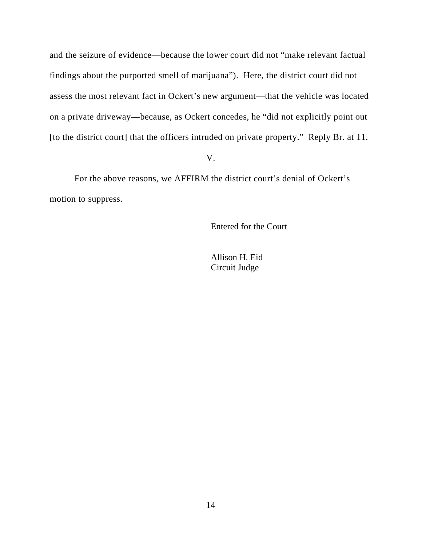and the seizure of evidence—because the lower court did not "make relevant factual findings about the purported smell of marijuana"). Here, the district court did not assess the most relevant fact in Ockert's new argument—that the vehicle was located on a private driveway—because, as Ockert concedes, he "did not explicitly point out [to the district court] that the officers intruded on private property." Reply Br. at 11.

V.

For the above reasons, we AFFIRM the district court's denial of Ockert's motion to suppress.

Entered for the Court

Allison H. Eid Circuit Judge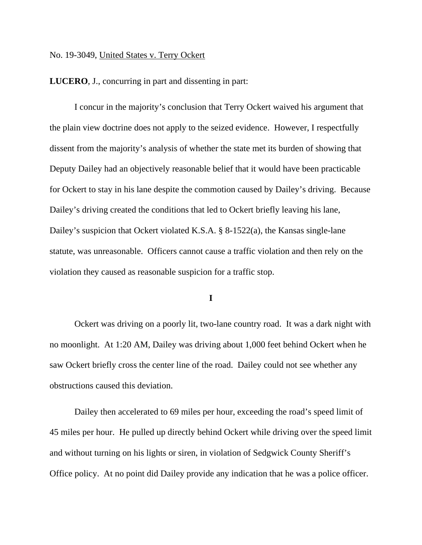### No. 19-3049, United States v. Terry Ockert

**LUCERO**, J., concurring in part and dissenting in part:

 I concur in the majority's conclusion that Terry Ockert waived his argument that the plain view doctrine does not apply to the seized evidence. However, I respectfully dissent from the majority's analysis of whether the state met its burden of showing that Deputy Dailey had an objectively reasonable belief that it would have been practicable for Ockert to stay in his lane despite the commotion caused by Dailey's driving. Because Dailey's driving created the conditions that led to Ockert briefly leaving his lane, Dailey's suspicion that Ockert violated K.S.A. § 8-1522(a), the Kansas single-lane statute, was unreasonable. Officers cannot cause a traffic violation and then rely on the violation they caused as reasonable suspicion for a traffic stop.

**I**

Ockert was driving on a poorly lit, two-lane country road. It was a dark night with no moonlight. At 1:20 AM, Dailey was driving about 1,000 feet behind Ockert when he saw Ockert briefly cross the center line of the road. Dailey could not see whether any obstructions caused this deviation.

Dailey then accelerated to 69 miles per hour, exceeding the road's speed limit of 45 miles per hour. He pulled up directly behind Ockert while driving over the speed limit and without turning on his lights or siren, in violation of Sedgwick County Sheriff's Office policy. At no point did Dailey provide any indication that he was a police officer.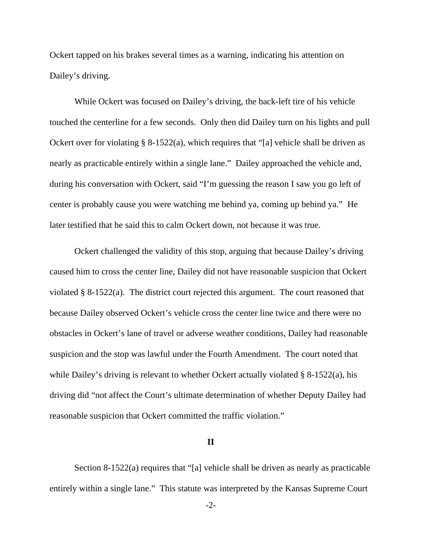Ockert tapped on his brakes several times as a warning, indicating his attention on Dailey's driving.

While Ockert was focused on Dailey's driving, the back-left tire of his vehicle touched the centerline for a few seconds. Only then did Dailey turn on his lights and pull Ockert over for violating § 8-1522(a), which requires that "[a] vehicle shall be driven as nearly as practicable entirely within a single lane." Dailey approached the vehicle and, during his conversation with Ockert, said "I'm guessing the reason I saw you go left of center is probably cause you were watching me behind ya, coming up behind ya." He later testified that he said this to calm Ockert down, not because it was true.

Ockert challenged the validity of this stop, arguing that because Dailey's driving caused him to cross the center line, Dailey did not have reasonable suspicion that Ockert violated § 8-1522(a). The district court rejected this argument. The court reasoned that because Dailey observed Ockert's vehicle cross the center line twice and there were no obstacles in Ockert's lane of travel or adverse weather conditions, Dailey had reasonable suspicion and the stop was lawful under the Fourth Amendment. The court noted that while Dailey's driving is relevant to whether Ockert actually violated § 8-1522(a), his driving did "not affect the Court's ultimate determination of whether Deputy Dailey had reasonable suspicion that Ockert committed the traffic violation."

#### **II**

Section 8-1522(a) requires that "[a] vehicle shall be driven as nearly as practicable entirely within a single lane." This statute was interpreted by the Kansas Supreme Court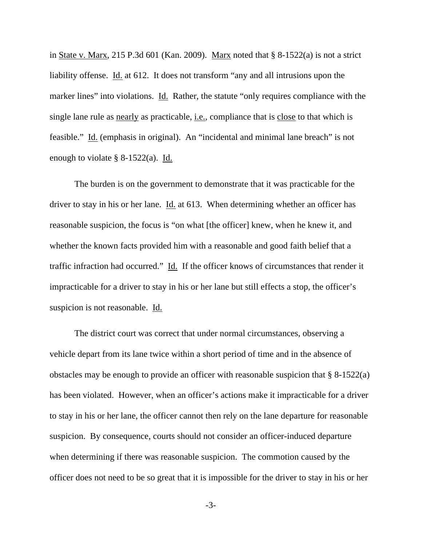in State v. Marx, 215 P.3d 601 (Kan. 2009). Marx noted that  $\S$  8-1522(a) is not a strict liability offense. Id. at 612. It does not transform "any and all intrusions upon the marker lines" into violations. Id. Rather, the statute "only requires compliance with the single lane rule as <u>nearly</u> as practicable, <u>i.e.</u>, compliance that is close to that which is feasible." Id. (emphasis in original). An "incidental and minimal lane breach" is not enough to violate  $\S$  8-1522(a). Id.

The burden is on the government to demonstrate that it was practicable for the driver to stay in his or her lane. Id. at 613. When determining whether an officer has reasonable suspicion, the focus is "on what [the officer] knew, when he knew it, and whether the known facts provided him with a reasonable and good faith belief that a traffic infraction had occurred." Id. If the officer knows of circumstances that render it impracticable for a driver to stay in his or her lane but still effects a stop, the officer's suspicion is not reasonable. Id.

The district court was correct that under normal circumstances, observing a vehicle depart from its lane twice within a short period of time and in the absence of obstacles may be enough to provide an officer with reasonable suspicion that § 8-1522(a) has been violated. However, when an officer's actions make it impracticable for a driver to stay in his or her lane, the officer cannot then rely on the lane departure for reasonable suspicion. By consequence, courts should not consider an officer-induced departure when determining if there was reasonable suspicion. The commotion caused by the officer does not need to be so great that it is impossible for the driver to stay in his or her

-3-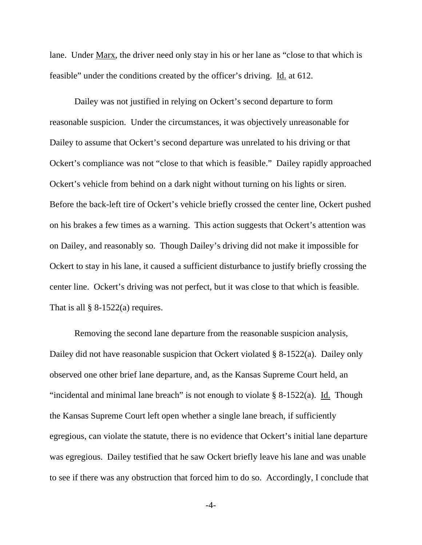lane. Under Marx, the driver need only stay in his or her lane as "close to that which is feasible" under the conditions created by the officer's driving. Id. at 612.

Dailey was not justified in relying on Ockert's second departure to form reasonable suspicion. Under the circumstances, it was objectively unreasonable for Dailey to assume that Ockert's second departure was unrelated to his driving or that Ockert's compliance was not "close to that which is feasible." Dailey rapidly approached Ockert's vehicle from behind on a dark night without turning on his lights or siren. Before the back-left tire of Ockert's vehicle briefly crossed the center line, Ockert pushed on his brakes a few times as a warning. This action suggests that Ockert's attention was on Dailey, and reasonably so. Though Dailey's driving did not make it impossible for Ockert to stay in his lane, it caused a sufficient disturbance to justify briefly crossing the center line. Ockert's driving was not perfect, but it was close to that which is feasible. That is all  $\S$  8-1522(a) requires.

Removing the second lane departure from the reasonable suspicion analysis, Dailey did not have reasonable suspicion that Ockert violated § 8-1522(a). Dailey only observed one other brief lane departure, and, as the Kansas Supreme Court held, an "incidental and minimal lane breach" is not enough to violate  $\S$  8-1522(a). Id. Though the Kansas Supreme Court left open whether a single lane breach, if sufficiently egregious, can violate the statute, there is no evidence that Ockert's initial lane departure was egregious. Dailey testified that he saw Ockert briefly leave his lane and was unable to see if there was any obstruction that forced him to do so. Accordingly, I conclude that

-4-